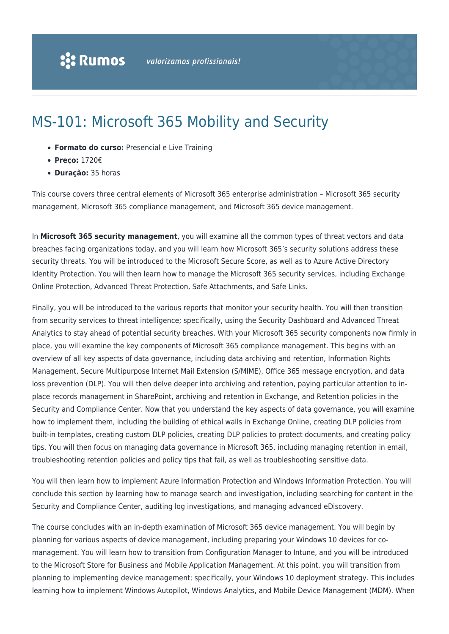# MS-101: Microsoft 365 Mobility and Security

- **Formato do curso:** Presencial e Live Training
- **Preço:** 1720€
- **Duração:** 35 horas

This course covers three central elements of Microsoft 365 enterprise administration – Microsoft 365 security management, Microsoft 365 compliance management, and Microsoft 365 device management.

In **Microsoft 365 security management**, you will examine all the common types of threat vectors and data breaches facing organizations today, and you will learn how Microsoft 365's security solutions address these security threats. You will be introduced to the Microsoft Secure Score, as well as to Azure Active Directory Identity Protection. You will then learn how to manage the Microsoft 365 security services, including Exchange Online Protection, Advanced Threat Protection, Safe Attachments, and Safe Links.

Finally, you will be introduced to the various reports that monitor your security health. You will then transition from security services to threat intelligence; specifically, using the Security Dashboard and Advanced Threat Analytics to stay ahead of potential security breaches. With your Microsoft 365 security components now firmly in place, you will examine the key components of Microsoft 365 compliance management. This begins with an overview of all key aspects of data governance, including data archiving and retention, Information Rights Management, Secure Multipurpose Internet Mail Extension (S/MIME), Office 365 message encryption, and data loss prevention (DLP). You will then delve deeper into archiving and retention, paying particular attention to inplace records management in SharePoint, archiving and retention in Exchange, and Retention policies in the Security and Compliance Center. Now that you understand the key aspects of data governance, you will examine how to implement them, including the building of ethical walls in Exchange Online, creating DLP policies from built-in templates, creating custom DLP policies, creating DLP policies to protect documents, and creating policy tips. You will then focus on managing data governance in Microsoft 365, including managing retention in email, troubleshooting retention policies and policy tips that fail, as well as troubleshooting sensitive data.

You will then learn how to implement Azure Information Protection and Windows Information Protection. You will conclude this section by learning how to manage search and investigation, including searching for content in the Security and Compliance Center, auditing log investigations, and managing advanced eDiscovery.

The course concludes with an in-depth examination of Microsoft 365 device management. You will begin by planning for various aspects of device management, including preparing your Windows 10 devices for comanagement. You will learn how to transition from Configuration Manager to Intune, and you will be introduced to the Microsoft Store for Business and Mobile Application Management. At this point, you will transition from planning to implementing device management; specifically, your Windows 10 deployment strategy. This includes learning how to implement Windows Autopilot, Windows Analytics, and Mobile Device Management (MDM). When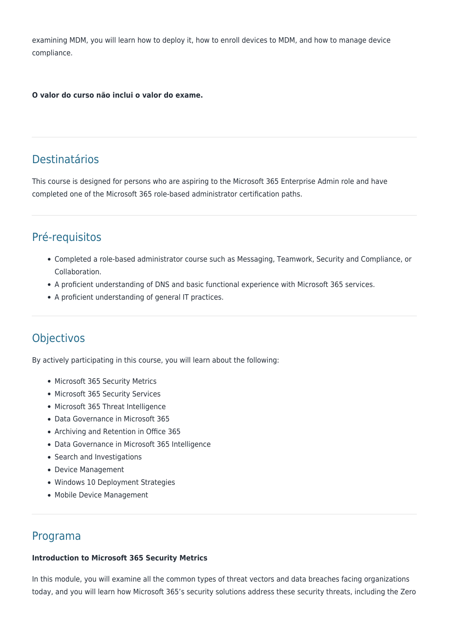examining MDM, you will learn how to deploy it, how to enroll devices to MDM, and how to manage device compliance.

**O valor do curso não inclui o valor do exame.**

## Destinatários

This course is designed for persons who are aspiring to the Microsoft 365 Enterprise Admin role and have completed one of the Microsoft 365 role-based administrator certification paths.

## Pré-requisitos

- Completed a role-based administrator course such as Messaging, Teamwork, Security and Compliance, or Collaboration.
- A proficient understanding of DNS and basic functional experience with Microsoft 365 services.
- A proficient understanding of general IT practices.

## **Objectivos**

By actively participating in this course, you will learn about the following:

- Microsoft 365 Security Metrics
- Microsoft 365 Security Services
- Microsoft 365 Threat Intelligence
- Data Governance in Microsoft 365
- Archiving and Retention in Office 365
- Data Governance in Microsoft 365 Intelligence
- Search and Investigations
- Device Management
- Windows 10 Deployment Strategies
- Mobile Device Management

### Programa

#### **Introduction to Microsoft 365 Security Metrics**

In this module, you will examine all the common types of threat vectors and data breaches facing organizations today, and you will learn how Microsoft 365's security solutions address these security threats, including the Zero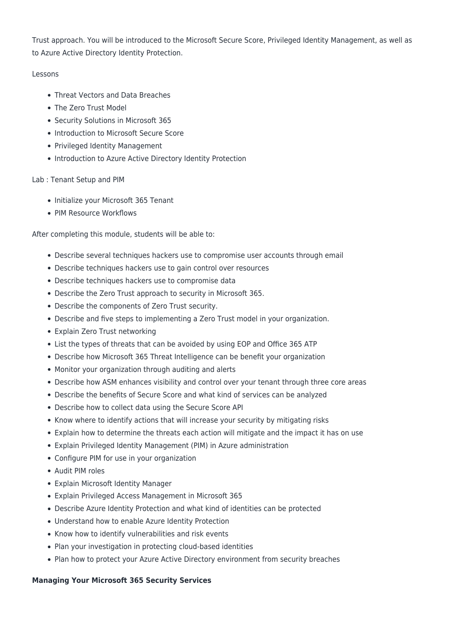Trust approach. You will be introduced to the Microsoft Secure Score, Privileged Identity Management, as well as to Azure Active Directory Identity Protection.

#### Lessons

- Threat Vectors and Data Breaches
- The Zero Trust Model
- Security Solutions in Microsoft 365
- Introduction to Microsoft Secure Score
- Privileged Identity Management
- Introduction to Azure Active Directory Identity Protection

#### Lab : Tenant Setup and PIM

- Initialize your Microsoft 365 Tenant
- PIM Resource Workflows

After completing this module, students will be able to:

- Describe several techniques hackers use to compromise user accounts through email
- Describe techniques hackers use to gain control over resources
- Describe techniques hackers use to compromise data
- Describe the Zero Trust approach to security in Microsoft 365.
- Describe the components of Zero Trust security.
- Describe and five steps to implementing a Zero Trust model in your organization.
- Explain Zero Trust networking
- List the types of threats that can be avoided by using EOP and Office 365 ATP
- Describe how Microsoft 365 Threat Intelligence can be benefit your organization
- Monitor your organization through auditing and alerts
- Describe how ASM enhances visibility and control over your tenant through three core areas
- Describe the benefits of Secure Score and what kind of services can be analyzed
- Describe how to collect data using the Secure Score API
- Know where to identify actions that will increase your security by mitigating risks
- Explain how to determine the threats each action will mitigate and the impact it has on use
- Explain Privileged Identity Management (PIM) in Azure administration
- Configure PIM for use in your organization
- Audit PIM roles
- Explain Microsoft Identity Manager
- Explain Privileged Access Management in Microsoft 365
- Describe Azure Identity Protection and what kind of identities can be protected
- Understand how to enable Azure Identity Protection
- Know how to identify vulnerabilities and risk events
- Plan your investigation in protecting cloud-based identities
- Plan how to protect your Azure Active Directory environment from security breaches

#### **Managing Your Microsoft 365 Security Services**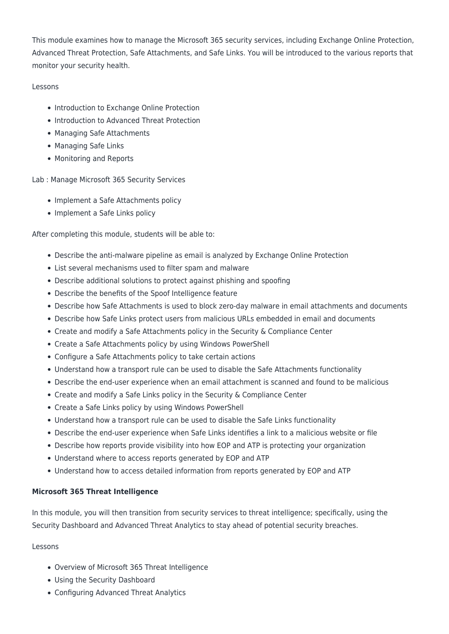This module examines how to manage the Microsoft 365 security services, including Exchange Online Protection, Advanced Threat Protection, Safe Attachments, and Safe Links. You will be introduced to the various reports that monitor your security health.

#### Lessons

- Introduction to Exchange Online Protection
- Introduction to Advanced Threat Protection
- Managing Safe Attachments
- Managing Safe Links
- Monitoring and Reports

Lab : Manage Microsoft 365 Security Services

- Implement a Safe Attachments policy
- Implement a Safe Links policy

After completing this module, students will be able to:

- Describe the anti-malware pipeline as email is analyzed by Exchange Online Protection
- List several mechanisms used to filter spam and malware
- Describe additional solutions to protect against phishing and spoofing
- Describe the benefits of the Spoof Intelligence feature
- Describe how Safe Attachments is used to block zero-day malware in email attachments and documents
- Describe how Safe Links protect users from malicious URLs embedded in email and documents
- Create and modify a Safe Attachments policy in the Security & Compliance Center
- Create a Safe Attachments policy by using Windows PowerShell
- Configure a Safe Attachments policy to take certain actions
- Understand how a transport rule can be used to disable the Safe Attachments functionality
- Describe the end-user experience when an email attachment is scanned and found to be malicious
- Create and modify a Safe Links policy in the Security & Compliance Center
- Create a Safe Links policy by using Windows PowerShell
- Understand how a transport rule can be used to disable the Safe Links functionality
- Describe the end-user experience when Safe Links identifies a link to a malicious website or file
- Describe how reports provide visibility into how EOP and ATP is protecting your organization
- Understand where to access reports generated by EOP and ATP
- Understand how to access detailed information from reports generated by EOP and ATP

#### **Microsoft 365 Threat Intelligence**

In this module, you will then transition from security services to threat intelligence; specifically, using the Security Dashboard and Advanced Threat Analytics to stay ahead of potential security breaches.

Lessons

- Overview of Microsoft 365 Threat Intelligence
- Using the Security Dashboard
- Configuring Advanced Threat Analytics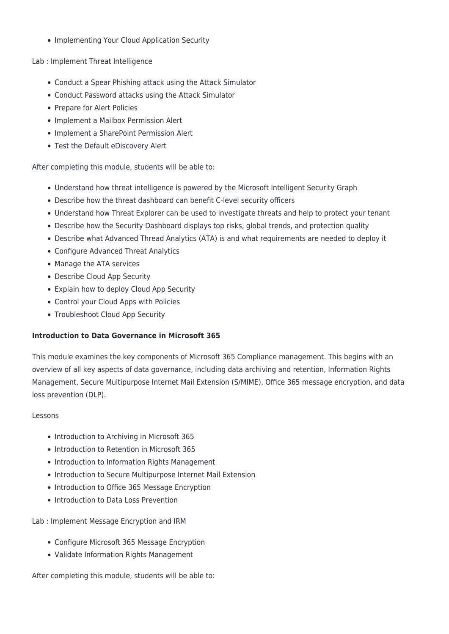• Implementing Your Cloud Application Security

Lab : Implement Threat Intelligence

- Conduct a Spear Phishing attack using the Attack Simulator
- Conduct Password attacks using the Attack Simulator
- Prepare for Alert Policies
- Implement a Mailbox Permission Alert
- Implement a SharePoint Permission Alert
- Test the Default eDiscovery Alert

After completing this module, students will be able to:

- Understand how threat intelligence is powered by the Microsoft Intelligent Security Graph
- Describe how the threat dashboard can benefit C-level security officers
- Understand how Threat Explorer can be used to investigate threats and help to protect your tenant
- Describe how the Security Dashboard displays top risks, global trends, and protection quality
- Describe what Advanced Thread Analytics (ATA) is and what requirements are needed to deploy it
- Configure Advanced Threat Analytics
- Manage the ATA services
- Describe Cloud App Security
- Explain how to deploy Cloud App Security
- Control your Cloud Apps with Policies
- Troubleshoot Cloud App Security

#### **Introduction to Data Governance in Microsoft 365**

This module examines the key components of Microsoft 365 Compliance management. This begins with an overview of all key aspects of data governance, including data archiving and retention, Information Rights Management, Secure Multipurpose Internet Mail Extension (S/MIME), Office 365 message encryption, and data loss prevention (DLP).

#### Lessons

- Introduction to Archiving in Microsoft 365
- Introduction to Retention in Microsoft 365
- Introduction to Information Rights Management
- Introduction to Secure Multipurpose Internet Mail Extension
- Introduction to Office 365 Message Encryption
- Introduction to Data Loss Prevention

Lab : Implement Message Encryption and IRM

- Configure Microsoft 365 Message Encryption
- Validate Information Rights Management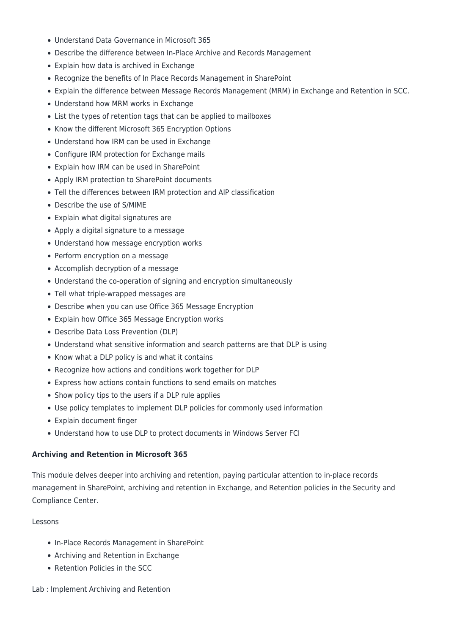- Understand Data Governance in Microsoft 365
- Describe the difference between In-Place Archive and Records Management
- Explain how data is archived in Exchange
- Recognize the benefits of In Place Records Management in SharePoint
- Explain the difference between Message Records Management (MRM) in Exchange and Retention in SCC.
- Understand how MRM works in Exchange
- List the types of retention tags that can be applied to mailboxes
- Know the different Microsoft 365 Encryption Options
- Understand how IRM can be used in Exchange
- Configure IRM protection for Exchange mails
- Explain how IRM can be used in SharePoint
- Apply IRM protection to SharePoint documents
- Tell the differences between IRM protection and AIP classification
- Describe the use of S/MIME
- Explain what digital signatures are
- Apply a digital signature to a message
- Understand how message encryption works
- Perform encryption on a message
- Accomplish decryption of a message
- Understand the co-operation of signing and encryption simultaneously
- Tell what triple-wrapped messages are
- Describe when you can use Office 365 Message Encryption
- Explain how Office 365 Message Encryption works
- Describe Data Loss Prevention (DLP)
- Understand what sensitive information and search patterns are that DLP is using
- Know what a DLP policy is and what it contains
- Recognize how actions and conditions work together for DLP
- Express how actions contain functions to send emails on matches
- Show policy tips to the users if a DLP rule applies
- Use policy templates to implement DLP policies for commonly used information
- Explain document finger
- Understand how to use DLP to protect documents in Windows Server FCI

#### **Archiving and Retention in Microsoft 365**

This module delves deeper into archiving and retention, paying particular attention to in-place records management in SharePoint, archiving and retention in Exchange, and Retention policies in the Security and Compliance Center.

#### Lessons

- In-Place Records Management in SharePoint
- Archiving and Retention in Exchange
- Retention Policies in the SCC

#### Lab : Implement Archiving and Retention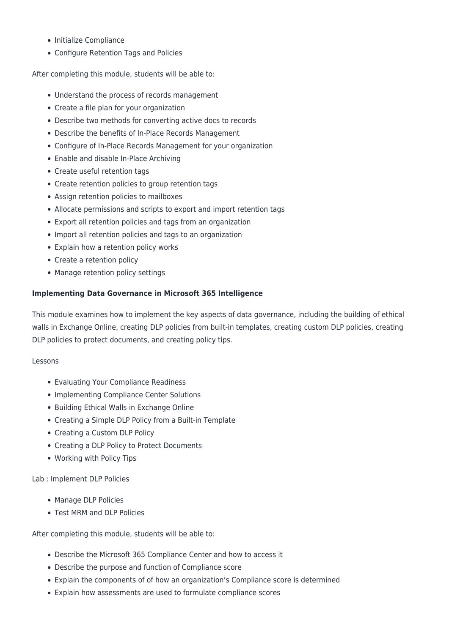- Initialize Compliance
- Configure Retention Tags and Policies

After completing this module, students will be able to:

- Understand the process of records management
- Create a file plan for your organization
- Describe two methods for converting active docs to records
- Describe the benefits of In-Place Records Management
- Configure of In-Place Records Management for your organization
- Enable and disable In-Place Archiving
- Create useful retention tags
- Create retention policies to group retention tags
- Assign retention policies to mailboxes
- Allocate permissions and scripts to export and import retention tags
- Export all retention policies and tags from an organization
- Import all retention policies and tags to an organization
- Explain how a retention policy works
- Create a retention policy
- Manage retention policy settings

#### **Implementing Data Governance in Microsoft 365 Intelligence**

This module examines how to implement the key aspects of data governance, including the building of ethical walls in Exchange Online, creating DLP policies from built-in templates, creating custom DLP policies, creating DLP policies to protect documents, and creating policy tips.

#### Lessons

- Evaluating Your Compliance Readiness
- Implementing Compliance Center Solutions
- Building Ethical Walls in Exchange Online
- Creating a Simple DLP Policy from a Built-in Template
- Creating a Custom DLP Policy
- Creating a DLP Policy to Protect Documents
- Working with Policy Tips

Lab : Implement DLP Policies

- Manage DLP Policies
- Test MRM and DLP Policies

- Describe the Microsoft 365 Compliance Center and how to access it
- Describe the purpose and function of Compliance score
- Explain the components of of how an organization's Compliance score is determined
- Explain how assessments are used to formulate compliance scores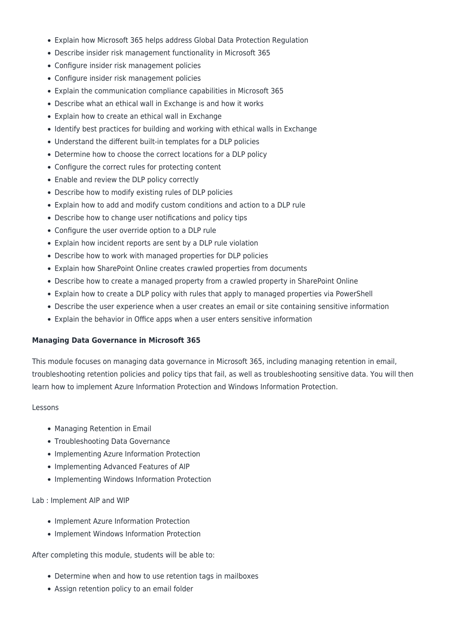- Explain how Microsoft 365 helps address Global Data Protection Regulation
- Describe insider risk management functionality in Microsoft 365
- Configure insider risk management policies
- Configure insider risk management policies
- Explain the communication compliance capabilities in Microsoft 365
- Describe what an ethical wall in Exchange is and how it works
- Explain how to create an ethical wall in Exchange
- Identify best practices for building and working with ethical walls in Exchange
- Understand the different built-in templates for a DLP policies
- Determine how to choose the correct locations for a DLP policy
- Configure the correct rules for protecting content
- Enable and review the DLP policy correctly
- Describe how to modify existing rules of DLP policies
- Explain how to add and modify custom conditions and action to a DLP rule
- Describe how to change user notifications and policy tips
- Configure the user override option to a DLP rule
- Explain how incident reports are sent by a DLP rule violation
- Describe how to work with managed properties for DLP policies
- Explain how SharePoint Online creates crawled properties from documents
- Describe how to create a managed property from a crawled property in SharePoint Online
- Explain how to create a DLP policy with rules that apply to managed properties via PowerShell
- Describe the user experience when a user creates an email or site containing sensitive information
- Explain the behavior in Office apps when a user enters sensitive information

#### **Managing Data Governance in Microsoft 365**

This module focuses on managing data governance in Microsoft 365, including managing retention in email, troubleshooting retention policies and policy tips that fail, as well as troubleshooting sensitive data. You will then learn how to implement Azure Information Protection and Windows Information Protection.

#### Lessons

- Managing Retention in Email
- Troubleshooting Data Governance
- Implementing Azure Information Protection
- Implementing Advanced Features of AIP
- Implementing Windows Information Protection

#### Lab : Implement AIP and WIP

- Implement Azure Information Protection
- Implement Windows Information Protection

- Determine when and how to use retention tags in mailboxes
- Assign retention policy to an email folder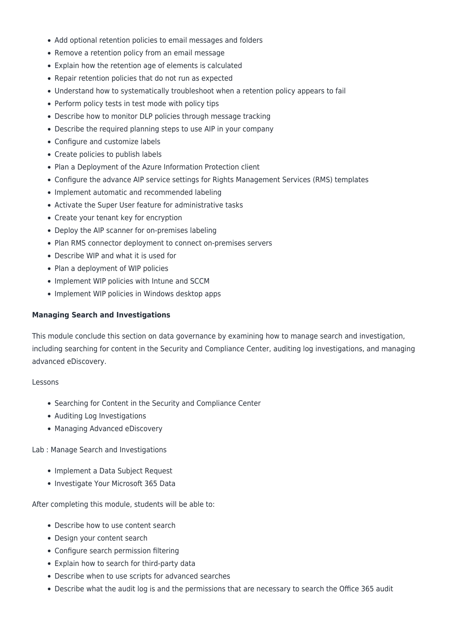- Add optional retention policies to email messages and folders
- Remove a retention policy from an email message
- Explain how the retention age of elements is calculated
- Repair retention policies that do not run as expected
- Understand how to systematically troubleshoot when a retention policy appears to fail
- Perform policy tests in test mode with policy tips
- Describe how to monitor DLP policies through message tracking
- Describe the required planning steps to use AIP in your company
- Configure and customize labels
- Create policies to publish labels
- Plan a Deployment of the Azure Information Protection client
- Configure the advance AIP service settings for Rights Management Services (RMS) templates
- Implement automatic and recommended labeling
- Activate the Super User feature for administrative tasks
- Create your tenant key for encryption
- Deploy the AIP scanner for on-premises labeling
- Plan RMS connector deployment to connect on-premises servers
- Describe WIP and what it is used for
- Plan a deployment of WIP policies
- Implement WIP policies with Intune and SCCM
- Implement WIP policies in Windows desktop apps

#### **Managing Search and Investigations**

This module conclude this section on data governance by examining how to manage search and investigation, including searching for content in the Security and Compliance Center, auditing log investigations, and managing advanced eDiscovery.

#### Lessons

- Searching for Content in the Security and Compliance Center
- Auditing Log Investigations
- Managing Advanced eDiscovery

Lab : Manage Search and Investigations

- Implement a Data Subject Request
- Investigate Your Microsoft 365 Data

- Describe how to use content search
- Design your content search
- Configure search permission filtering
- Explain how to search for third-party data
- Describe when to use scripts for advanced searches
- Describe what the audit log is and the permissions that are necessary to search the Office 365 audit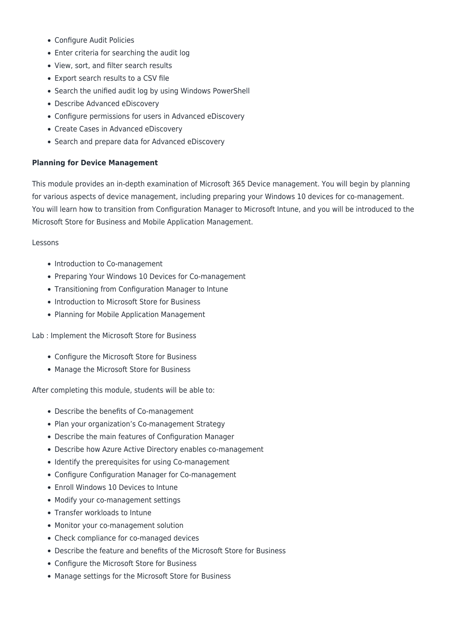- Configure Audit Policies
- Enter criteria for searching the audit log
- View, sort, and filter search results
- Export search results to a CSV file
- Search the unified audit log by using Windows PowerShell
- Describe Advanced eDiscovery
- Configure permissions for users in Advanced eDiscovery
- Create Cases in Advanced eDiscovery
- Search and prepare data for Advanced eDiscovery

#### **Planning for Device Management**

This module provides an in-depth examination of Microsoft 365 Device management. You will begin by planning for various aspects of device management, including preparing your Windows 10 devices for co-management. You will learn how to transition from Configuration Manager to Microsoft Intune, and you will be introduced to the Microsoft Store for Business and Mobile Application Management.

#### Lessons

- Introduction to Co-management
- Preparing Your Windows 10 Devices for Co-management
- Transitioning from Configuration Manager to Intune
- Introduction to Microsoft Store for Business
- Planning for Mobile Application Management

Lab : Implement the Microsoft Store for Business

- Configure the Microsoft Store for Business
- Manage the Microsoft Store for Business

- Describe the benefits of Co-management
- Plan your organization's Co-management Strategy
- Describe the main features of Configuration Manager
- Describe how Azure Active Directory enables co-management
- Identify the prerequisites for using Co-management
- Configure Configuration Manager for Co-management
- Enroll Windows 10 Devices to Intune
- Modify your co-management settings
- Transfer workloads to Intune
- Monitor your co-management solution
- Check compliance for co-managed devices
- Describe the feature and benefits of the Microsoft Store for Business
- Configure the Microsoft Store for Business
- Manage settings for the Microsoft Store for Business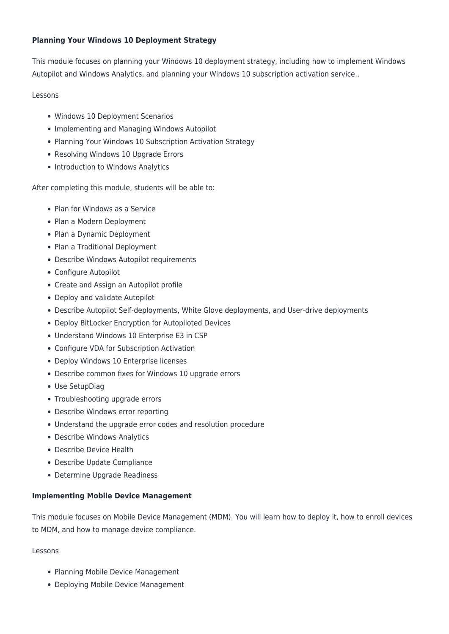#### **Planning Your Windows 10 Deployment Strategy**

This module focuses on planning your Windows 10 deployment strategy, including how to implement Windows Autopilot and Windows Analytics, and planning your Windows 10 subscription activation service.,

#### Lessons

- Windows 10 Deployment Scenarios
- Implementing and Managing Windows Autopilot
- Planning Your Windows 10 Subscription Activation Strategy
- Resolving Windows 10 Upgrade Errors
- Introduction to Windows Analytics

After completing this module, students will be able to:

- Plan for Windows as a Service
- Plan a Modern Deployment
- Plan a Dynamic Deployment
- Plan a Traditional Deployment
- Describe Windows Autopilot requirements
- Configure Autopilot
- Create and Assign an Autopilot profile
- Deploy and validate Autopilot
- Describe Autopilot Self-deployments, White Glove deployments, and User-drive deployments
- Deploy BitLocker Encryption for Autopiloted Devices
- Understand Windows 10 Enterprise E3 in CSP
- Configure VDA for Subscription Activation
- Deploy Windows 10 Enterprise licenses
- Describe common fixes for Windows 10 upgrade errors
- Use SetupDiag
- Troubleshooting upgrade errors
- Describe Windows error reporting
- Understand the upgrade error codes and resolution procedure
- Describe Windows Analytics
- Describe Device Health
- Describe Update Compliance
- Determine Upgrade Readiness

#### **Implementing Mobile Device Management**

This module focuses on Mobile Device Management (MDM). You will learn how to deploy it, how to enroll devices to MDM, and how to manage device compliance.

Lessons

- Planning Mobile Device Management
- Deploying Mobile Device Management